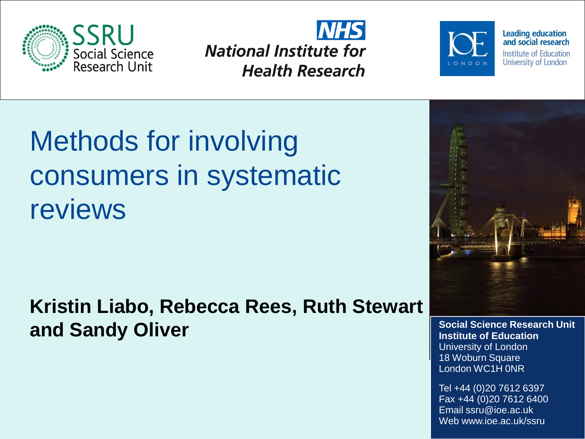





**Leading education** and social research **Institute of Education** University of London

### Methods for involving consumers in systematic reviews

**Kristin Liabo, Rebecca Rees, Ruth Stewart and Sandy Oliver Sandy Oliver Social Science Research Unit** 



**Institute of Education** University of London 18 Woburn Square London WC1H 0NR

Tel +44 (0)20 7612 6397 Fax +44 (0)20 7612 6400 Email ssru@ioe.ac.uk Web www.ioe.ac.uk/ssru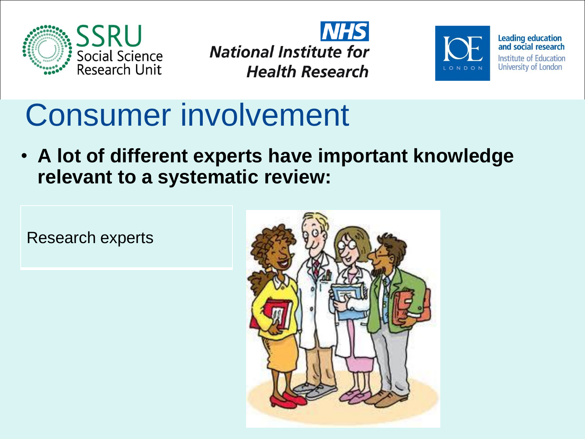





### Consumer involvement

• **A lot of different experts have important knowledge relevant to a systematic review:**

Research experts

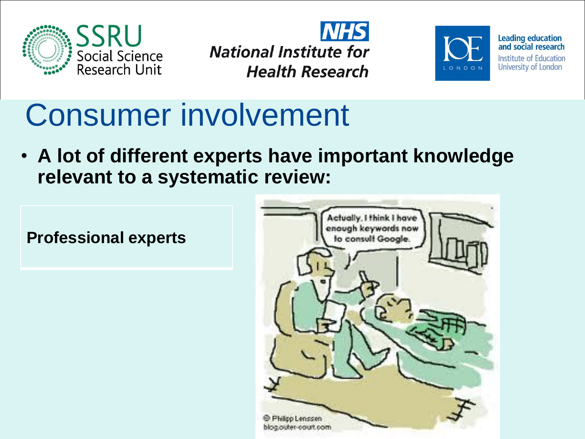





### Consumer involvement

• **A lot of different experts have important knowledge relevant to a systematic review:**

**Professional experts**

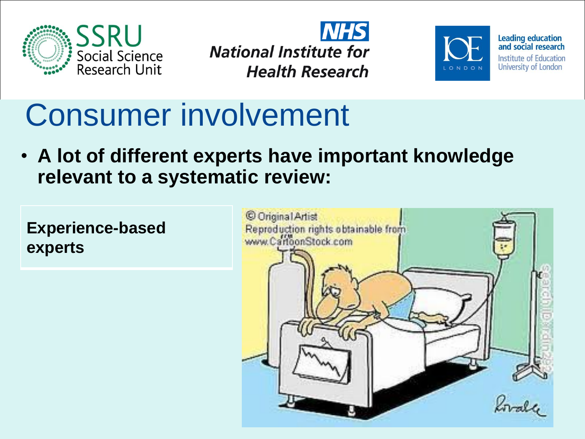





## Consumer involvement

• **A lot of different experts have important knowledge relevant to a systematic review:**

**Experience-based experts**

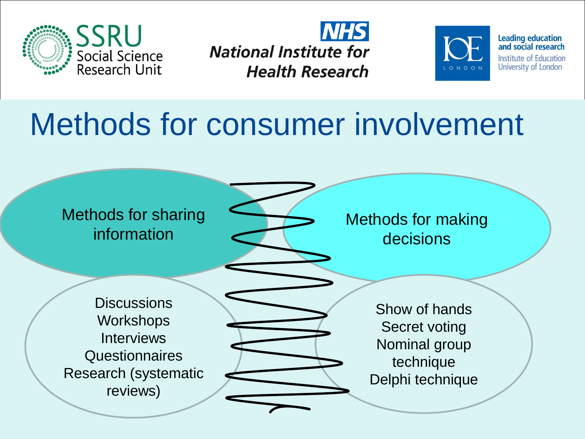





#### Methods for consumer involvement

#### Methods for sharing information

**Discussions Workshops Interviews Questionnaires** Research (systematic reviews)

Methods for making decisions

Show of hands Secret voting Nominal group technique Delphi technique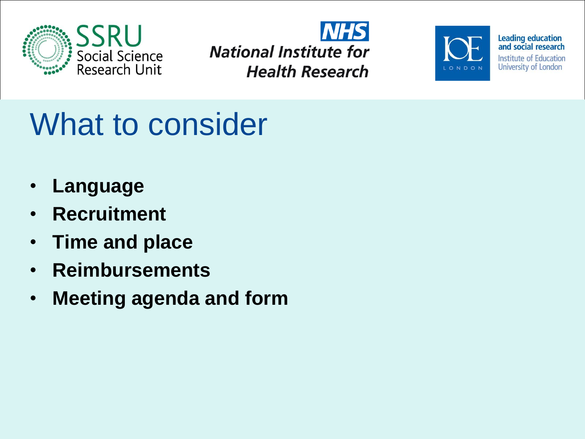





# What to consider

- **Language**
- **Recruitment**
- **Time and place**
- **Reimbursements**
- **Meeting agenda and form**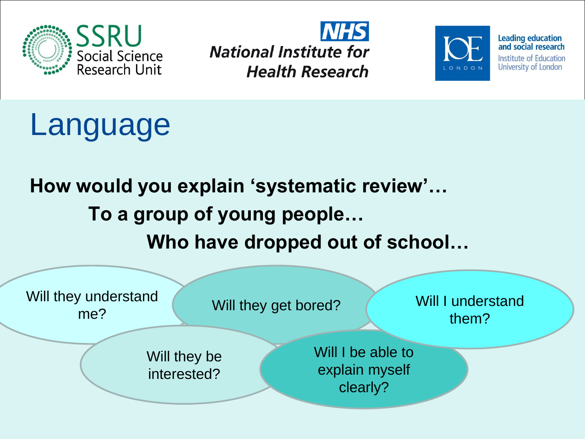







#### **How would you explain 'systematic review'… To a group of young people… Who have dropped out of school…**